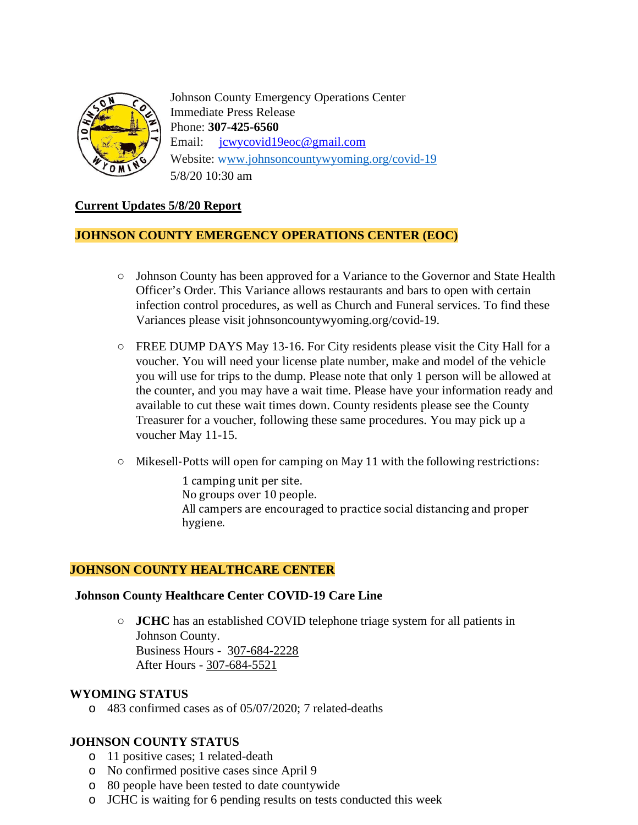

Johnson County Emergency Operations Center Immediate Press Release Phone: **307-425-6560** Email: [jcwycovid19eoc@gmail.com](mailto:jcwycovid19eoc@gmail.com) Website: [www.johnsoncountywyoming.org/covid-19](http://www.johnsoncountywyoming.org/covid-19) 5/8/20 10:30 am

### **Current Updates 5/8/20 Report**

#### **JOHNSON COUNTY EMERGENCY OPERATIONS CENTER (EOC)**

- **○** Johnson County has been approved for a Variance to the Governor and State Health Officer's Order. This Variance allows restaurants and bars to open with certain infection control procedures, as well as Church and Funeral services. To find these Variances please visit johnsoncountywyoming.org/covid-19.
- **○** FREE DUMP DAYS May 13-16. For City residents please visit the City Hall for a voucher. You will need your license plate number, make and model of the vehicle you will use for trips to the dump. Please note that only 1 person will be allowed at the counter, and you may have a wait time. Please have your information ready and available to cut these wait times down. County residents please see the County Treasurer for a voucher, following these same procedures. You may pick up a voucher May 11-15.
- **○** Mikesell-Potts will open for camping on May 11 with the following restrictions:

1 camping unit per site. No groups over 10 people. All campers are encouraged to practice social distancing and proper hygiene.

#### **JOHNSON COUNTY HEALTHCARE CENTER**

#### **Johnson County Healthcare Center COVID-19 Care Line**

**○ JCHC** has an established COVID telephone triage system for all patients in Johnson County. Business Hours - 307-684-2228 After Hours - 307-684-5521

#### **WYOMING STATUS**

o 483 confirmed cases as of 05/07/2020; 7 related-deaths

#### **JOHNSON COUNTY STATUS**

- o 11 positive cases; 1 related-death
- o No confirmed positive cases since April 9
- o 80 people have been tested to date countywide
- o JCHC is waiting for 6 pending results on tests conducted this week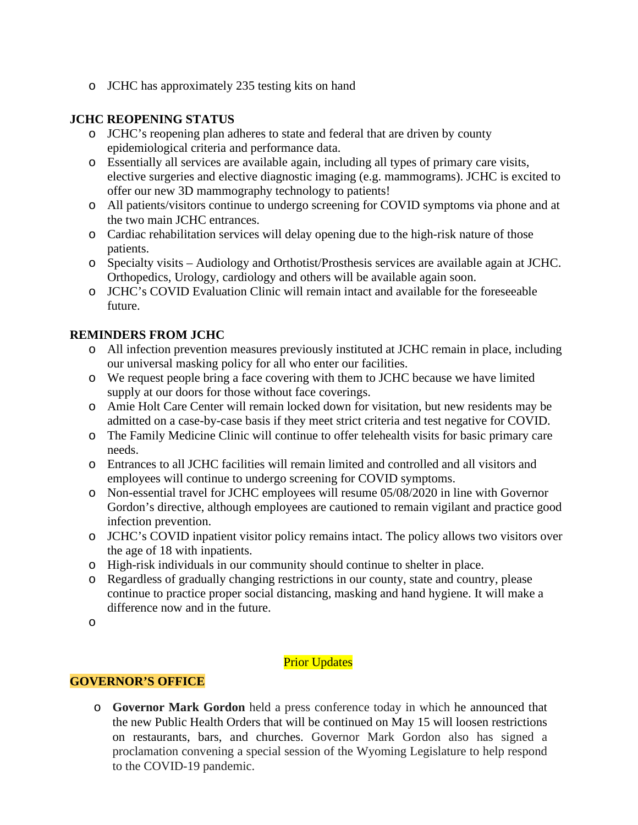o JCHC has approximately 235 testing kits on hand

## **JCHC REOPENING STATUS**

- o JCHC's reopening plan adheres to state and federal that are driven by county epidemiological criteria and performance data.
- o Essentially all services are available again, including all types of primary care visits, elective surgeries and elective diagnostic imaging (e.g. mammograms). JCHC is excited to offer our new 3D mammography technology to patients!
- o All patients/visitors continue to undergo screening for COVID symptoms via phone and at the two main JCHC entrances.
- o Cardiac rehabilitation services will delay opening due to the high-risk nature of those patients.
- o Specialty visits Audiology and Orthotist/Prosthesis services are available again at JCHC. Orthopedics, Urology, cardiology and others will be available again soon.
- o JCHC's COVID Evaluation Clinic will remain intact and available for the foreseeable future.

# **REMINDERS FROM JCHC**

- o All infection prevention measures previously instituted at JCHC remain in place, including our universal masking policy for all who enter our facilities.
- o We request people bring a face covering with them to JCHC because we have limited supply at our doors for those without face coverings.
- o Amie Holt Care Center will remain locked down for visitation, but new residents may be admitted on a case-by-case basis if they meet strict criteria and test negative for COVID.
- o The Family Medicine Clinic will continue to offer telehealth visits for basic primary care needs.
- o Entrances to all JCHC facilities will remain limited and controlled and all visitors and employees will continue to undergo screening for COVID symptoms.
- o Non-essential travel for JCHC employees will resume 05/08/2020 in line with Governor Gordon's directive, although employees are cautioned to remain vigilant and practice good infection prevention.
- o JCHC's COVID inpatient visitor policy remains intact. The policy allows two visitors over the age of 18 with inpatients.
- o High-risk individuals in our community should continue to shelter in place.
- o Regardless of gradually changing restrictions in our county, state and country, please continue to practice proper social distancing, masking and hand hygiene. It will make a difference now and in the future.

o

# **Prior Updates**

### **GOVERNOR'S OFFICE**

o **Governor Mark Gordon** held a press conference today in which he announced that the new Public Health Orders that will be continued on May 15 will loosen restrictions on restaurants, bars, and churches. Governor Mark Gordon also has signed a proclamation convening a special session of the Wyoming Legislature to help respond to the COVID-19 pandemic.